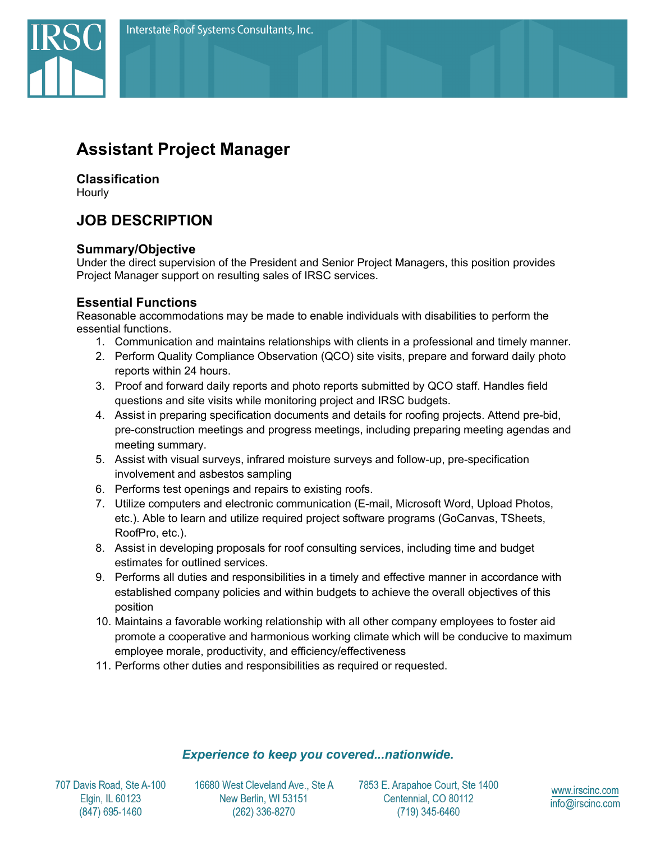

## **Classification**

Hourly

# **JOB DESCRIPTION**

#### **Summary/Objective**

Under the direct supervision of the President and Senior Project Managers, this position provides Project Manager support on resulting sales of IRSC services.

## **Essential Functions**

Reasonable accommodations may be made to enable individuals with disabilities to perform the essential functions.

- 1. Communication and maintains relationships with clients in a professional and timely manner.
- 2. Perform Quality Compliance Observation (QCO) site visits, prepare and forward daily photo reports within 24 hours.
- 3. Proof and forward daily reports and photo reports submitted by QCO staff. Handles field questions and site visits while monitoring project and IRSC budgets.
- 4. Assist in preparing specification documents and details for roofing projects. Attend pre-bid, pre-construction meetings and progress meetings, including preparing meeting agendas and meeting summary.
- 5. Assist with visual surveys, infrared moisture surveys and follow-up, pre-specification involvement and asbestos sampling
- 6. Performs test openings and repairs to existing roofs.
- 7. Utilize computers and electronic communication (E-mail, Microsoft Word, Upload Photos, etc.). Able to learn and utilize required project software programs (GoCanvas, TSheets, RoofPro, etc.).
- 8. Assist in developing proposals for roof consulting services, including time and budget estimates for outlined services.
- 9. Performs all duties and responsibilities in a timely and effective manner in accordance with established company policies and within budgets to achieve the overall objectives of this position
- 10. Maintains a favorable working relationship with all other company employees to foster aid promote a cooperative and harmonious working climate which will be conducive to maximum employee morale, productivity, and efficiency/effectiveness
- 11. Performs other duties and responsibilities as required or requested.

## **Experience to keep you covered...nationwide.**

707 Davis Road, Ste A-100 Elgin, IL 60123 (847) 695-1460

16680 West Cleveland Ave., Ste A New Berlin, WI 53151 (262) 336-8270

7853 E. Arapahoe Court, Ste 1400 Centennial, CO 80112 (719) 345-6460

www.irscinc.com info@irscinc.com